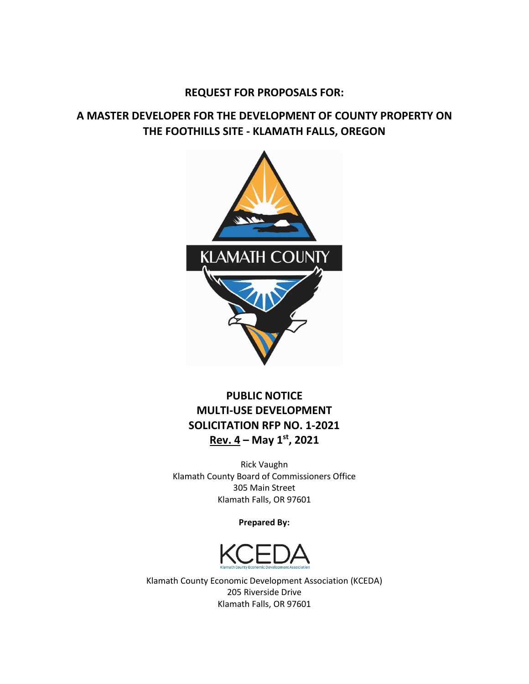## **REQUEST FOR PROPOSALS FOR:**

## **A MASTER DEVELOPER FOR THE DEVELOPMENT OF COUNTY PROPERTY ON THE FOOTHILLS SITE - KLAMATH FALLS, OREGON**



## **PUBLIC NOTICE MULTI-USE DEVELOPMENT SOLICITATION RFP NO. 1-2021 Rev. 4 – May 1 st, 2021**

Rick Vaughn Klamath County Board of Commissioners Office 305 Main Street Klamath Falls, OR 97601

**Prepared By:**



Klamath County Economic Development Association (KCEDA) 205 Riverside Drive Klamath Falls, OR 97601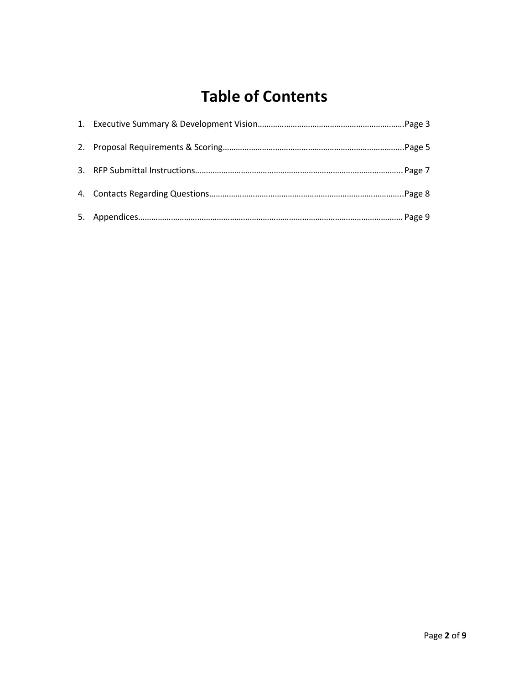# **Table of Contents**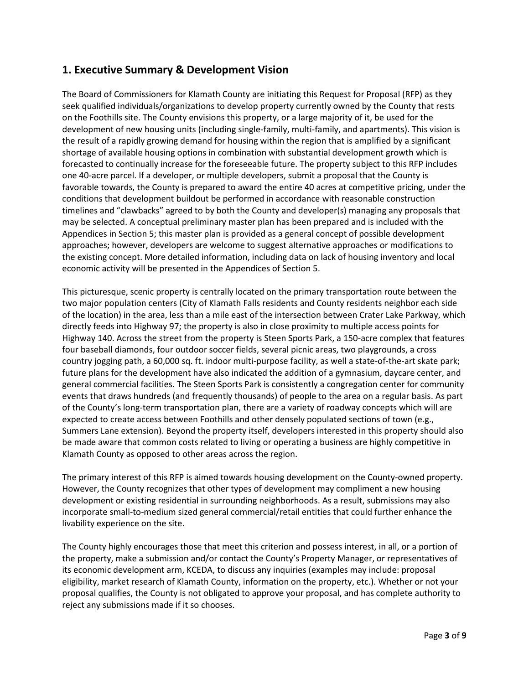## **1. Executive Summary & Development Vision**

The Board of Commissioners for Klamath County are initiating this Request for Proposal (RFP) as they seek qualified individuals/organizations to develop property currently owned by the County that rests on the Foothills site. The County envisions this property, or a large majority of it, be used for the development of new housing units (including single-family, multi-family, and apartments). This vision is the result of a rapidly growing demand for housing within the region that is amplified by a significant shortage of available housing options in combination with substantial development growth which is forecasted to continually increase for the foreseeable future. The property subject to this RFP includes one 40-acre parcel. If a developer, or multiple developers, submit a proposal that the County is favorable towards, the County is prepared to award the entire 40 acres at competitive pricing, under the conditions that development buildout be performed in accordance with reasonable construction timelines and "clawbacks" agreed to by both the County and developer(s) managing any proposals that may be selected. A conceptual preliminary master plan has been prepared and is included with the Appendices in Section 5; this master plan is provided as a general concept of possible development approaches; however, developers are welcome to suggest alternative approaches or modifications to the existing concept. More detailed information, including data on lack of housing inventory and local economic activity will be presented in the Appendices of Section 5.

This picturesque, scenic property is centrally located on the primary transportation route between the two major population centers (City of Klamath Falls residents and County residents neighbor each side of the location) in the area, less than a mile east of the intersection between Crater Lake Parkway, which directly feeds into Highway 97; the property is also in close proximity to multiple access points for Highway 140. Across the street from the property is Steen Sports Park, a 150-acre complex that features four baseball diamonds, four outdoor soccer fields, several picnic areas, two playgrounds, a cross country jogging path, a 60,000 sq. ft. indoor multi-purpose facility, as well a state-of-the-art skate park; future plans for the development have also indicated the addition of a gymnasium, daycare center, and general commercial facilities. The Steen Sports Park is consistently a congregation center for community events that draws hundreds (and frequently thousands) of people to the area on a regular basis. As part of the County's long-term transportation plan, there are a variety of roadway concepts which will are expected to create access between Foothills and other densely populated sections of town (e.g., Summers Lane extension). Beyond the property itself, developers interested in this property should also be made aware that common costs related to living or operating a business are highly competitive in Klamath County as opposed to other areas across the region.

The primary interest of this RFP is aimed towards housing development on the County-owned property. However, the County recognizes that other types of development may compliment a new housing development or existing residential in surrounding neighborhoods. As a result, submissions may also incorporate small-to-medium sized general commercial/retail entities that could further enhance the livability experience on the site.

The County highly encourages those that meet this criterion and possess interest, in all, or a portion of the property, make a submission and/or contact the County's Property Manager, or representatives of its economic development arm, KCEDA, to discuss any inquiries (examples may include: proposal eligibility, market research of Klamath County, information on the property, etc.). Whether or not your proposal qualifies, the County is not obligated to approve your proposal, and has complete authority to reject any submissions made if it so chooses.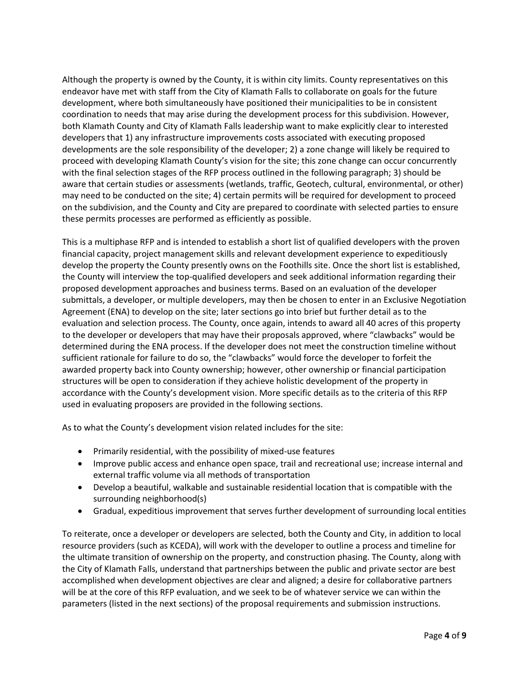Although the property is owned by the County, it is within city limits. County representatives on this endeavor have met with staff from the City of Klamath Falls to collaborate on goals for the future development, where both simultaneously have positioned their municipalities to be in consistent coordination to needs that may arise during the development process for this subdivision. However, both Klamath County and City of Klamath Falls leadership want to make explicitly clear to interested developers that 1) any infrastructure improvements costs associated with executing proposed developments are the sole responsibility of the developer; 2) a zone change will likely be required to proceed with developing Klamath County's vision for the site; this zone change can occur concurrently with the final selection stages of the RFP process outlined in the following paragraph; 3) should be aware that certain studies or assessments (wetlands, traffic, Geotech, cultural, environmental, or other) may need to be conducted on the site; 4) certain permits will be required for development to proceed on the subdivision, and the County and City are prepared to coordinate with selected parties to ensure these permits processes are performed as efficiently as possible.

This is a multiphase RFP and is intended to establish a short list of qualified developers with the proven financial capacity, project management skills and relevant development experience to expeditiously develop the property the County presently owns on the Foothills site. Once the short list is established, the County will interview the top-qualified developers and seek additional information regarding their proposed development approaches and business terms. Based on an evaluation of the developer submittals, a developer, or multiple developers, may then be chosen to enter in an Exclusive Negotiation Agreement (ENA) to develop on the site; later sections go into brief but further detail as to the evaluation and selection process. The County, once again, intends to award all 40 acres of this property to the developer or developers that may have their proposals approved, where "clawbacks" would be determined during the ENA process. If the developer does not meet the construction timeline without sufficient rationale for failure to do so, the "clawbacks" would force the developer to forfeit the awarded property back into County ownership; however, other ownership or financial participation structures will be open to consideration if they achieve holistic development of the property in accordance with the County's development vision. More specific details as to the criteria of this RFP used in evaluating proposers are provided in the following sections.

As to what the County's development vision related includes for the site:

- Primarily residential, with the possibility of mixed-use features
- Improve public access and enhance open space, trail and recreational use; increase internal and external traffic volume via all methods of transportation
- Develop a beautiful, walkable and sustainable residential location that is compatible with the surrounding neighborhood(s)
- Gradual, expeditious improvement that serves further development of surrounding local entities

To reiterate, once a developer or developers are selected, both the County and City, in addition to local resource providers (such as KCEDA), will work with the developer to outline a process and timeline for the ultimate transition of ownership on the property, and construction phasing. The County, along with the City of Klamath Falls, understand that partnerships between the public and private sector are best accomplished when development objectives are clear and aligned; a desire for collaborative partners will be at the core of this RFP evaluation, and we seek to be of whatever service we can within the parameters (listed in the next sections) of the proposal requirements and submission instructions.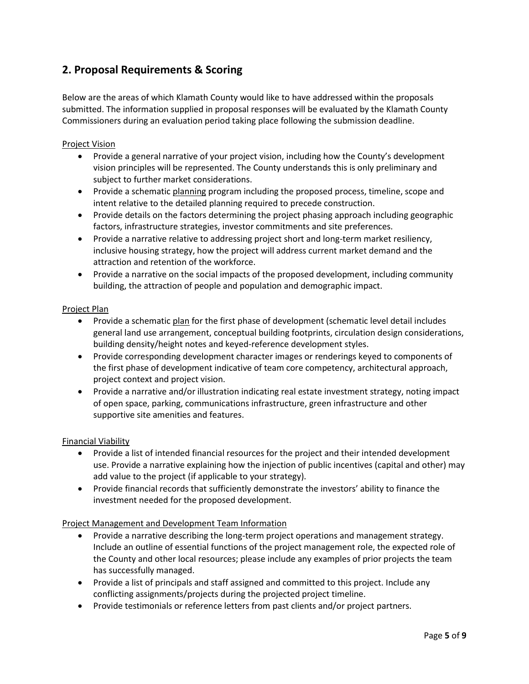## **2. Proposal Requirements & Scoring**

Below are the areas of which Klamath County would like to have addressed within the proposals submitted. The information supplied in proposal responses will be evaluated by the Klamath County Commissioners during an evaluation period taking place following the submission deadline.

#### Project Vision

- Provide a general narrative of your project vision, including how the County's development vision principles will be represented. The County understands this is only preliminary and subject to further market considerations.
- Provide a schematic planning program including the proposed process, timeline, scope and intent relative to the detailed planning required to precede construction.
- Provide details on the factors determining the project phasing approach including geographic factors, infrastructure strategies, investor commitments and site preferences.
- Provide a narrative relative to addressing project short and long-term market resiliency, inclusive housing strategy, how the project will address current market demand and the attraction and retention of the workforce.
- Provide a narrative on the social impacts of the proposed development, including community building, the attraction of people and population and demographic impact.

#### Project Plan

- Provide a schematic plan for the first phase of development (schematic level detail includes general land use arrangement, conceptual building footprints, circulation design considerations, building density/height notes and keyed-reference development styles.
- Provide corresponding development character images or renderings keyed to components of the first phase of development indicative of team core competency, architectural approach, project context and project vision.
- Provide a narrative and/or illustration indicating real estate investment strategy, noting impact of open space, parking, communications infrastructure, green infrastructure and other supportive site amenities and features.

#### Financial Viability

- Provide a list of intended financial resources for the project and their intended development use. Provide a narrative explaining how the injection of public incentives (capital and other) may add value to the project (if applicable to your strategy).
- Provide financial records that sufficiently demonstrate the investors' ability to finance the investment needed for the proposed development.

#### Project Management and Development Team Information

- Provide a narrative describing the long-term project operations and management strategy. Include an outline of essential functions of the project management role, the expected role of the County and other local resources; please include any examples of prior projects the team has successfully managed.
- Provide a list of principals and staff assigned and committed to this project. Include any conflicting assignments/projects during the projected project timeline.
- Provide testimonials or reference letters from past clients and/or project partners.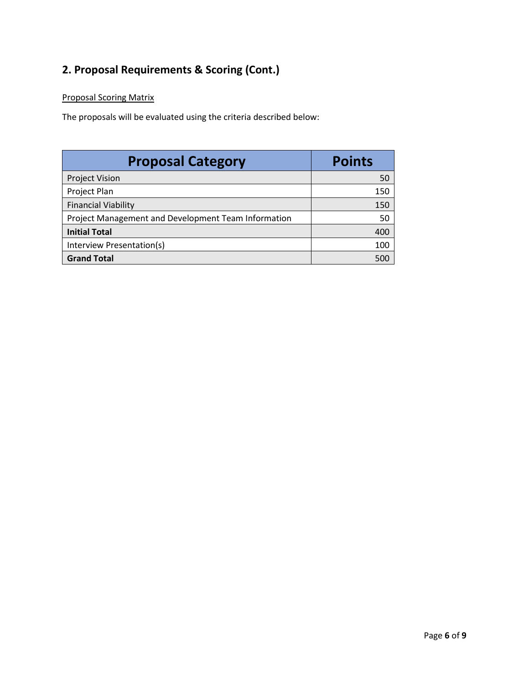## **2. Proposal Requirements & Scoring (Cont.)**

### Proposal Scoring Matrix

The proposals will be evaluated using the criteria described below:

| <b>Proposal Category</b>                            | <b>Points</b> |
|-----------------------------------------------------|---------------|
| <b>Project Vision</b>                               | 50            |
| Project Plan                                        | 150           |
| <b>Financial Viability</b>                          | 150           |
| Project Management and Development Team Information | 50            |
| <b>Initial Total</b>                                | 400           |
| Interview Presentation(s)                           | 100           |
| <b>Grand Total</b>                                  | 500           |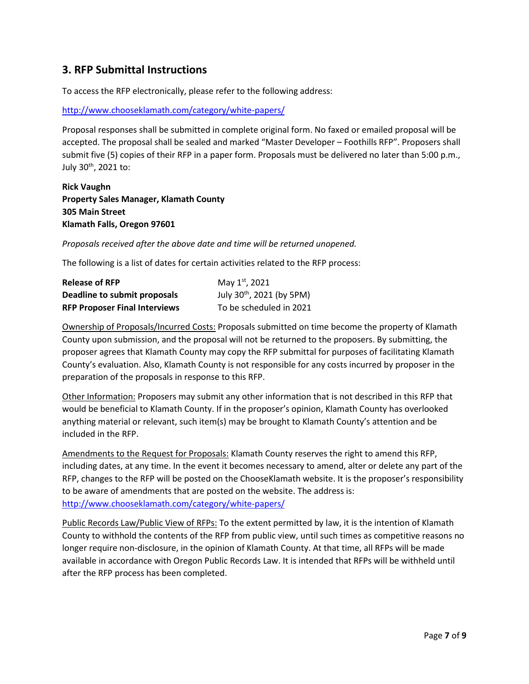## **3. RFP Submittal Instructions**

To access the RFP electronically, please refer to the following address:

<http://www.chooseklamath.com/category/white-papers/>

Proposal responses shall be submitted in complete original form. No faxed or emailed proposal will be accepted. The proposal shall be sealed and marked "Master Developer – Foothills RFP". Proposers shall submit five (5) copies of their RFP in a paper form. Proposals must be delivered no later than 5:00 p.m., July 30<sup>th</sup>, 2021 to:

#### **Rick Vaughn Property Sales Manager, Klamath County 305 Main Street Klamath Falls, Oregon 97601**

*Proposals received after the above date and time will be returned unopened.* 

The following is a list of dates for certain activities related to the RFP process:

| <b>Release of RFP</b>                | May 1st, 2021                         |
|--------------------------------------|---------------------------------------|
| Deadline to submit proposals         | July 30 <sup>th</sup> , 2021 (by 5PM) |
| <b>RFP Proposer Final Interviews</b> | To be scheduled in 2021               |

Ownership of Proposals/Incurred Costs: Proposals submitted on time become the property of Klamath County upon submission, and the proposal will not be returned to the proposers. By submitting, the proposer agrees that Klamath County may copy the RFP submittal for purposes of facilitating Klamath County's evaluation. Also, Klamath County is not responsible for any costs incurred by proposer in the preparation of the proposals in response to this RFP.

Other Information: Proposers may submit any other information that is not described in this RFP that would be beneficial to Klamath County. If in the proposer's opinion, Klamath County has overlooked anything material or relevant, such item(s) may be brought to Klamath County's attention and be included in the RFP.

Amendments to the Request for Proposals: Klamath County reserves the right to amend this RFP, including dates, at any time. In the event it becomes necessary to amend, alter or delete any part of the RFP, changes to the RFP will be posted on the ChooseKlamath website. It is the proposer's responsibility to be aware of amendments that are posted on the website. The address is: <http://www.chooseklamath.com/category/white-papers/>

Public Records Law/Public View of RFPs: To the extent permitted by law, it is the intention of Klamath County to withhold the contents of the RFP from public view, until such times as competitive reasons no longer require non-disclosure, in the opinion of Klamath County. At that time, all RFPs will be made available in accordance with Oregon Public Records Law. It is intended that RFPs will be withheld until after the RFP process has been completed.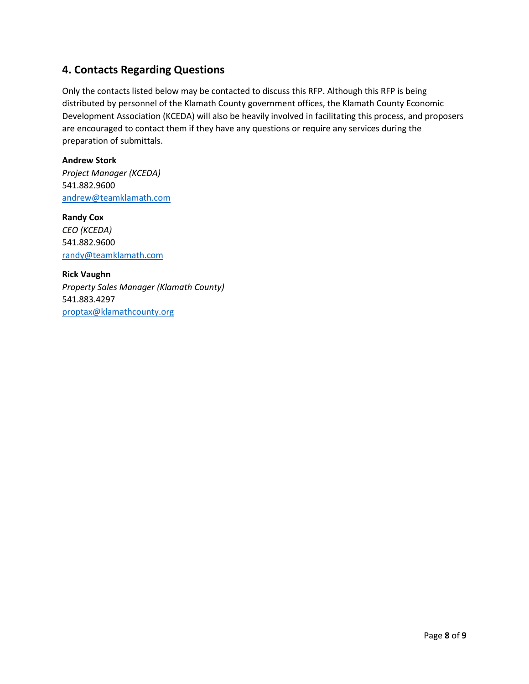## **4. Contacts Regarding Questions**

Only the contacts listed below may be contacted to discuss this RFP. Although this RFP is being distributed by personnel of the Klamath County government offices, the Klamath County Economic Development Association (KCEDA) will also be heavily involved in facilitating this process, and proposers are encouraged to contact them if they have any questions or require any services during the preparation of submittals.

#### **Andrew Stork**

*Project Manager (KCEDA)* 541.882.9600 [andrew@teamklamath.com](mailto:andrew@teamklamath.com)

**Randy Cox** *CEO (KCEDA)* 541.882.9600 [randy@teamklamath.com](mailto:randy@teamklamath.com)

**Rick Vaughn** *Property Sales Manager (Klamath County)* 541.883.4297 [proptax@klamathcounty.org](mailto:proptax@klamathcounty.org)